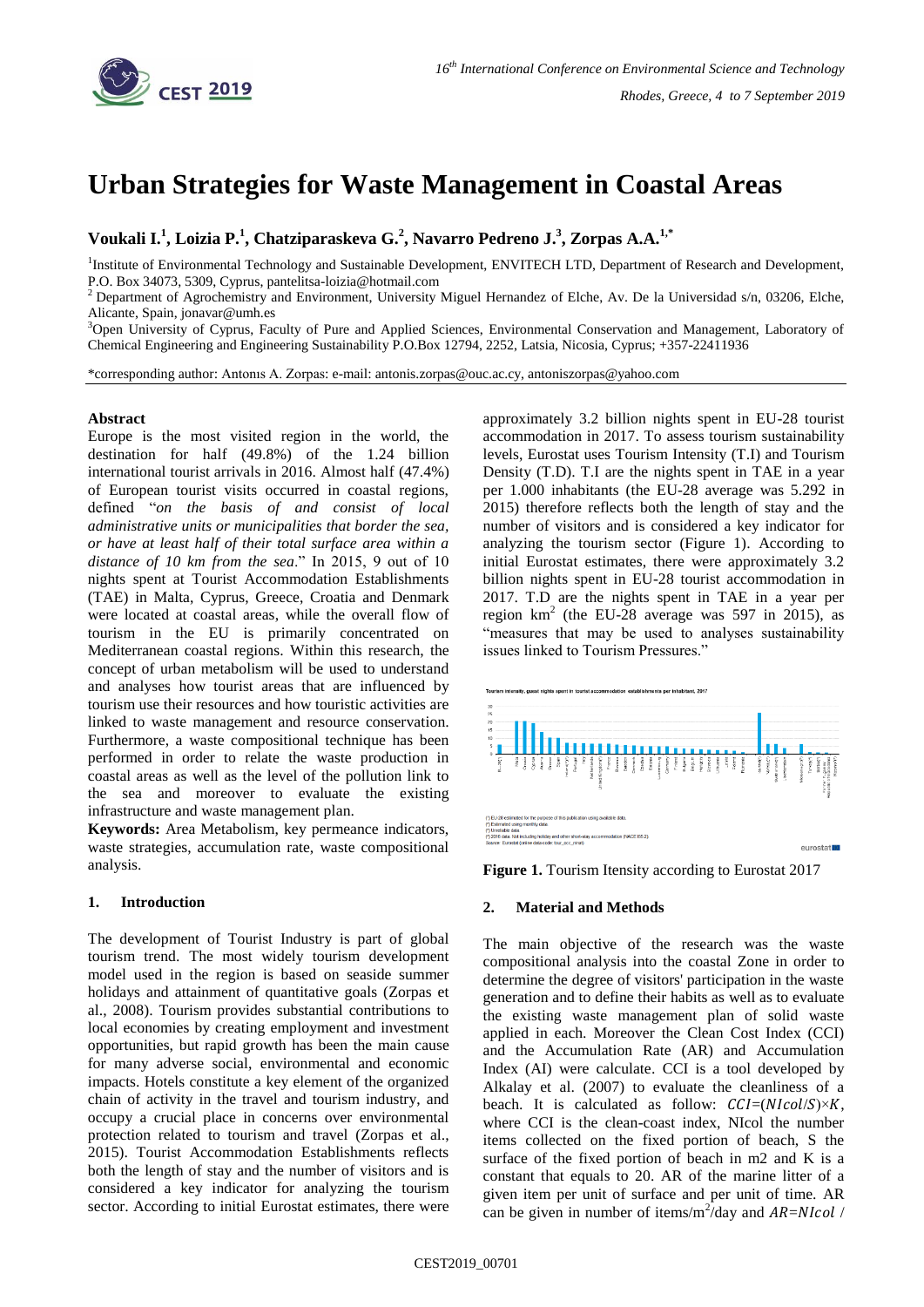

# **Urban Strategies for Waste Management in Coastal Areas**

**Voukali I.<sup>1</sup> , Loizia P.<sup>1</sup> , Chatziparaskeva G.<sup>2</sup> , Navarro Pedreno J.<sup>3</sup> , Zorpas A.A.1,\***

<sup>1</sup>Institute of Environmental Technology and Sustainable Development, ENVITECH LTD, Department of Research and Development, P.O. Box 34073, 5309, Cyprus, pantelitsa-loizia@hotmail.com

<sup>2</sup> Department of Agrochemistry and Environment, University Miguel Hernandez of Elche, Av. De la Universidad s/n, 03206, Elche, Alicante, Spain, jonavar@umh.es

<sup>3</sup>Open University of Cyprus, Faculty of Pure and Applied Sciences, Environmental Conservation and Management, Laboratory of Chemical Engineering and Engineering Sustainability P.O.Box 12794, 2252, Latsia, Nicosia, Cyprus; +357-22411936

\*corresponding author: Antonıs A. Zorpas: e-mail: antonis.zorpas@ouc.ac.cy, antoniszorpas@yahoo.com

#### **Abstract**

Europe is the most visited region in the world, the destination for half (49.8%) of the 1.24 billion international tourist arrivals in 2016. Almost half (47.4%) of European tourist visits occurred in coastal regions, defined "*on the basis of and consist of local administrative units or municipalities that border the sea, or have at least half of their total surface area within a distance of 10 km from the sea*." In 2015, 9 out of 10 nights spent at Tourist Accommodation Establishments (TAE) in Malta, Cyprus, Greece, Croatia and Denmark were located at coastal areas, while the overall flow of tourism in the EU is primarily concentrated on Mediterranean coastal regions. Within this research, the concept of urban metabolism will be used to understand and analyses how tourist areas that are influenced by tourism use their resources and how touristic activities are linked to waste management and resource conservation. Furthermore, a waste compositional technique has been performed in order to relate the waste production in coastal areas as well as the level of the pollution link to the sea and moreover to evaluate the existing infrastructure and waste management plan.

**Keywords:** Area Metabolism, key permeance indicators, waste strategies, accumulation rate, waste compositional analysis.

## **1. Introduction**

The development of Tourist Industry is part of global tourism trend. The most widely tourism development model used in the region is based on seaside summer holidays and attainment of quantitative goals (Zorpas et al., 2008). Tourism provides substantial contributions to local economies by creating employment and investment opportunities, but rapid growth has been the main cause for many adverse social, environmental and economic impacts. Hotels constitute a key element of the organized chain of activity in the travel and tourism industry, and occupy a crucial place in concerns over environmental protection related to tourism and travel (Zorpas et al., 2015). Tourist Accommodation Establishments reflects both the length of stay and the number of visitors and is considered a key indicator for analyzing the tourism sector. According to initial Eurostat estimates, there were

approximately 3.2 billion nights spent in EU-28 tourist accommodation in 2017. To assess tourism sustainability levels, Eurostat uses Tourism Intensity (T.I) and Tourism Density (T.D). T.I are the nights spent in TAE in a year per 1.000 inhabitants (the EU-28 average was 5.292 in 2015) therefore reflects both the length of stay and the number of visitors and is considered a key indicator for analyzing the tourism sector (Figure 1). According to initial Eurostat estimates, there were approximately 3.2 billion nights spent in EU-28 tourist accommodation in 2017. T.D are the nights spent in TAE in a year per region  $km^2$  (the EU-28 average was 597 in 2015), as "measures that may be used to analyses sustainability issues linked to Tourism Pressures."



**Figure 1.** Tourism Itensity according to Eurostat 2017

### **2. Material and Methods**

The main objective of the research was the waste compositional analysis into the coastal Zone in order to determine the degree of visitors' participation in the waste generation and to define their habits as well as to evaluate the existing waste management plan of solid waste applied in each. Moreover the Clean Cost Index (CCI) and the Accumulation Rate (AR) and Accumulation Index (AI) were calculate. CCI is a tool developed by Alkalay et al. (2007) to evaluate the cleanliness of a beach. It is calculated as follow:  $CCI = (NICol/S) \times K$ , where CCI is the clean-coast index, NIcol the number items collected on the fixed portion of beach, S the surface of the fixed portion of beach in m2 and K is a constant that equals to 20. AR of the marine litter of a given item per unit of surface and per unit of time. AR can be given in number of items/m<sup>2</sup>/day and  $AR = N1col$  /